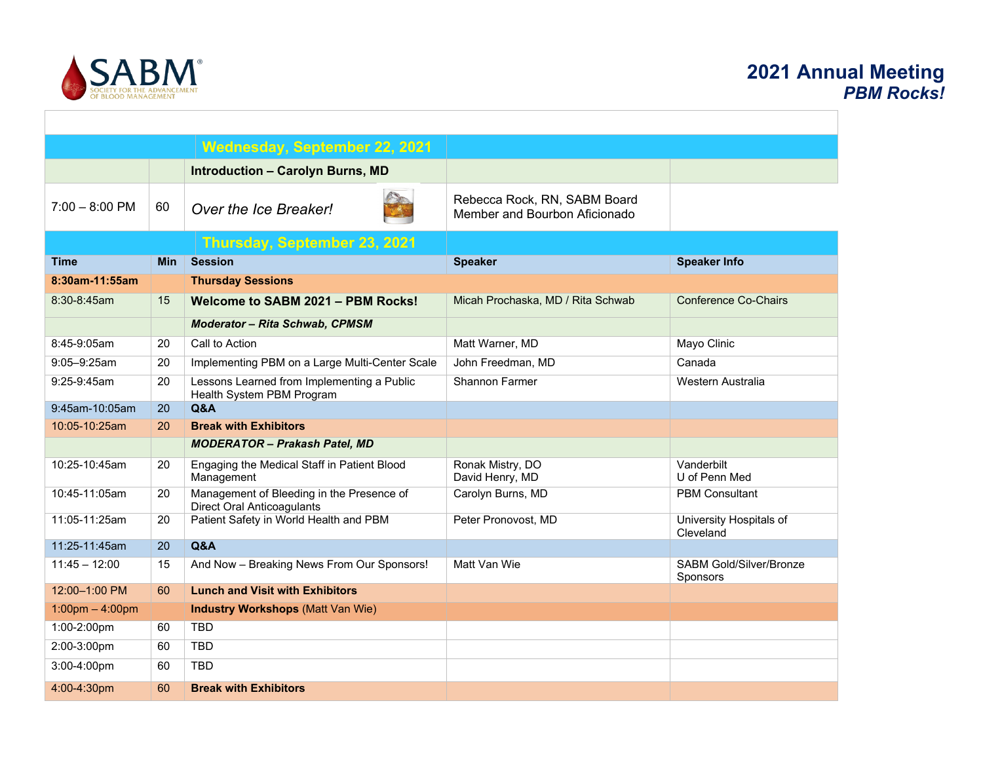

| Wednesday, September 22, 2021     |            |                                                                                |                                                               |                                            |  |
|-----------------------------------|------------|--------------------------------------------------------------------------------|---------------------------------------------------------------|--------------------------------------------|--|
|                                   |            | <b>Introduction - Carolyn Burns, MD</b>                                        |                                                               |                                            |  |
| $7:00 - 8:00$ PM                  | 60         | Over the Ice Breaker!                                                          | Rebecca Rock, RN, SABM Board<br>Member and Bourbon Aficionado |                                            |  |
|                                   |            | Thursday, September 23, 2021                                                   |                                                               |                                            |  |
| <b>Time</b>                       | <b>Min</b> | <b>Session</b>                                                                 | <b>Speaker</b>                                                | <b>Speaker Info</b>                        |  |
| 8:30am-11:55am                    |            | <b>Thursday Sessions</b>                                                       |                                                               |                                            |  |
| 8:30-8:45am                       | 15         | Welcome to SABM 2021 - PBM Rocks!                                              | Micah Prochaska, MD / Rita Schwab                             | <b>Conference Co-Chairs</b>                |  |
|                                   |            | <b>Moderator - Rita Schwab, CPMSM</b>                                          |                                                               |                                            |  |
| 8:45-9:05am                       | 20         | Call to Action                                                                 | Matt Warner, MD                                               | Mayo Clinic                                |  |
| $9:05 - 9:25$ am                  | 20         | Implementing PBM on a Large Multi-Center Scale                                 | John Freedman, MD                                             | Canada                                     |  |
| 9:25-9:45am                       | 20         | Lessons Learned from Implementing a Public<br>Health System PBM Program        | <b>Shannon Farmer</b>                                         | Western Australia                          |  |
| 9:45am-10:05am                    | 20         | Q&A                                                                            |                                                               |                                            |  |
| 10:05-10:25am                     | 20         | <b>Break with Exhibitors</b>                                                   |                                                               |                                            |  |
|                                   |            | <b>MODERATOR - Prakash Patel, MD</b>                                           |                                                               |                                            |  |
| 10:25-10:45am                     | 20         | Engaging the Medical Staff in Patient Blood<br>Management                      | Ronak Mistry, DO<br>David Henry, MD                           | Vanderbilt<br>U of Penn Med                |  |
| 10:45-11:05am                     | 20         | Management of Bleeding in the Presence of<br><b>Direct Oral Anticoagulants</b> | Carolyn Burns, MD                                             | <b>PBM Consultant</b>                      |  |
| 11:05-11:25am                     | 20         | Patient Safety in World Health and PBM                                         | Peter Pronovost, MD                                           | University Hospitals of<br>Cleveland       |  |
| 11:25-11:45am                     | 20         | <b>Q&amp;A</b>                                                                 |                                                               |                                            |  |
| $11:45 - 12:00$                   | 15         | And Now - Breaking News From Our Sponsors!                                     | Matt Van Wie                                                  | <b>SABM Gold/Silver/Bronze</b><br>Sponsors |  |
| 12:00-1:00 PM                     | 60         | <b>Lunch and Visit with Exhibitors</b>                                         |                                                               |                                            |  |
| $1:00 \text{pm} - 4:00 \text{pm}$ |            | <b>Industry Workshops (Matt Van Wie)</b>                                       |                                                               |                                            |  |
| 1:00-2:00pm                       | 60         | <b>TBD</b>                                                                     |                                                               |                                            |  |
| 2:00-3:00pm                       | 60         | <b>TBD</b>                                                                     |                                                               |                                            |  |
| 3:00-4:00pm                       | 60         | <b>TBD</b>                                                                     |                                                               |                                            |  |
| 4:00-4:30pm                       | 60         | <b>Break with Exhibitors</b>                                                   |                                                               |                                            |  |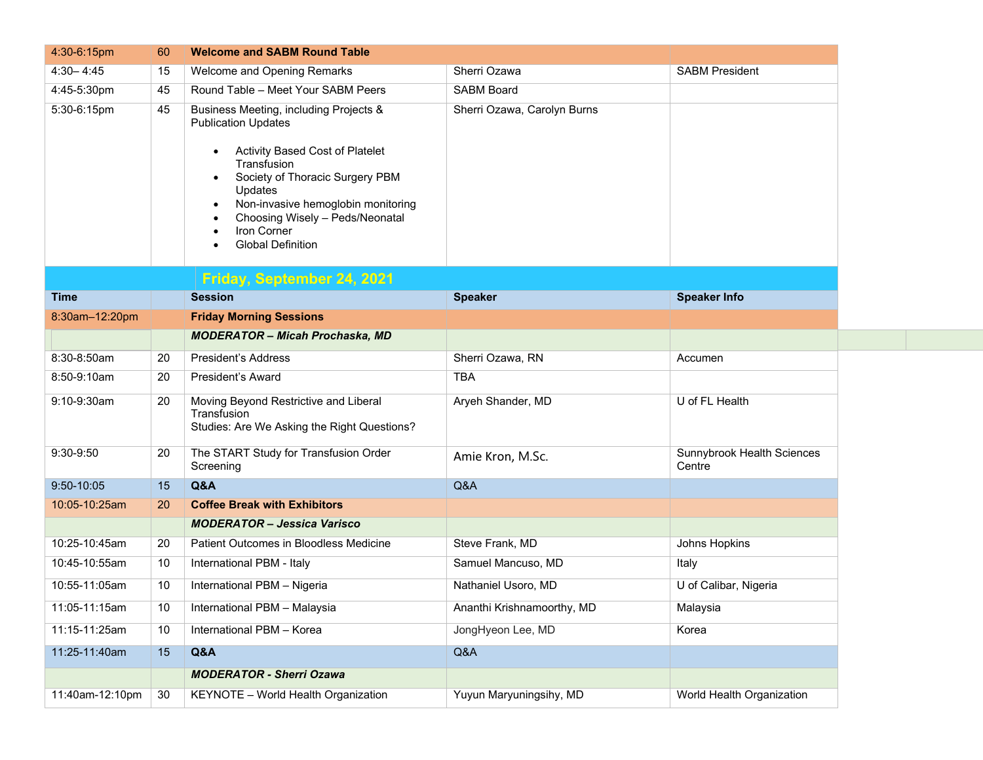| 4:30-6:15pm     | 60 | <b>Welcome and SABM Round Table</b>                                                                                                                                                                                                                                                                   |                             |                                      |
|-----------------|----|-------------------------------------------------------------------------------------------------------------------------------------------------------------------------------------------------------------------------------------------------------------------------------------------------------|-----------------------------|--------------------------------------|
| $4:30 - 4:45$   | 15 | Welcome and Opening Remarks                                                                                                                                                                                                                                                                           | Sherri Ozawa                | <b>SABM President</b>                |
| 4:45-5:30pm     | 45 | Round Table - Meet Your SABM Peers                                                                                                                                                                                                                                                                    | <b>SABM Board</b>           |                                      |
| 5:30-6:15pm     | 45 | Business Meeting, including Projects &<br><b>Publication Updates</b><br>Activity Based Cost of Platelet<br>Transfusion<br>Society of Thoracic Surgery PBM<br>Updates<br>Non-invasive hemoglobin monitoring<br>$\bullet$<br>Choosing Wisely - Peds/Neonatal<br>Iron Corner<br><b>Global Definition</b> | Sherri Ozawa, Carolyn Burns |                                      |
| <b>Time</b>     |    | Friday, September 24, 2021<br><b>Session</b>                                                                                                                                                                                                                                                          | <b>Speaker</b>              | <b>Speaker Info</b>                  |
| 8:30am-12:20pm  |    | <b>Friday Morning Sessions</b>                                                                                                                                                                                                                                                                        |                             |                                      |
|                 |    | <b>MODERATOR - Micah Prochaska, MD</b>                                                                                                                                                                                                                                                                |                             |                                      |
| 8:30-8:50am     | 20 | <b>President's Address</b>                                                                                                                                                                                                                                                                            | Sherri Ozawa, RN            | Accumen                              |
| 8:50-9:10am     | 20 | <b>President's Award</b>                                                                                                                                                                                                                                                                              | <b>TBA</b>                  |                                      |
| 9:10-9:30am     | 20 | Moving Beyond Restrictive and Liberal<br>Transfusion<br>Studies: Are We Asking the Right Questions?                                                                                                                                                                                                   | Aryeh Shander, MD           | U of FL Health                       |
| 9:30-9:50       | 20 | The START Study for Transfusion Order<br>Screening                                                                                                                                                                                                                                                    | Amie Kron, M.Sc.            | Sunnybrook Health Sciences<br>Centre |
| 9:50-10:05      | 15 | Q&A                                                                                                                                                                                                                                                                                                   | Q&A                         |                                      |
| 10:05-10:25am   | 20 | <b>Coffee Break with Exhibitors</b>                                                                                                                                                                                                                                                                   |                             |                                      |
|                 |    | <b>MODERATOR - Jessica Varisco</b>                                                                                                                                                                                                                                                                    |                             |                                      |
| 10:25-10:45am   | 20 | Patient Outcomes in Bloodless Medicine                                                                                                                                                                                                                                                                | Steve Frank, MD             | Johns Hopkins                        |
| 10:45-10:55am   | 10 | International PBM - Italy                                                                                                                                                                                                                                                                             | Samuel Mancuso, MD          | Italy                                |
| 10:55-11:05am   | 10 | International PBM - Nigeria                                                                                                                                                                                                                                                                           | Nathaniel Usoro, MD         | U of Calibar, Nigeria                |
| 11:05-11:15am   | 10 | International PBM - Malaysia                                                                                                                                                                                                                                                                          | Ananthi Krishnamoorthy, MD  | Malaysia                             |
| 11:15-11:25am   | 10 | International PBM - Korea                                                                                                                                                                                                                                                                             | JongHyeon Lee, MD           | Korea                                |
| 11:25-11:40am   | 15 | Q&A                                                                                                                                                                                                                                                                                                   | Q&A                         |                                      |
|                 |    | <b>MODERATOR - Sherri Ozawa</b>                                                                                                                                                                                                                                                                       |                             |                                      |
| 11:40am-12:10pm | 30 | KEYNOTE - World Health Organization                                                                                                                                                                                                                                                                   | Yuyun Maryuningsihy, MD     | World Health Organization            |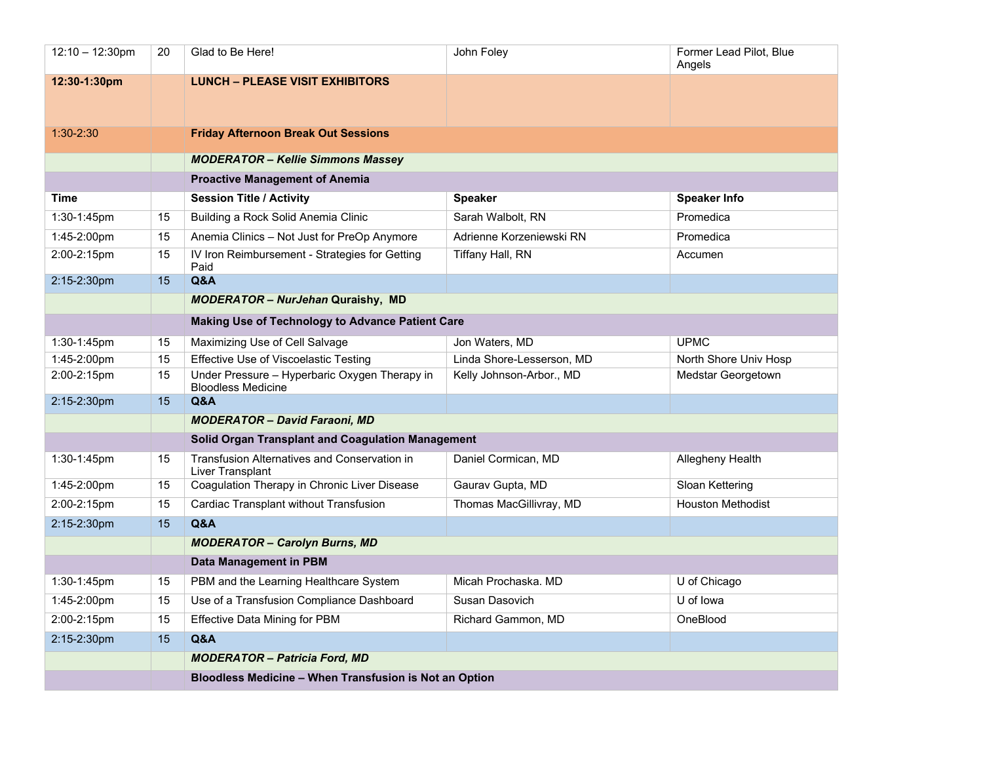| $12:10 - 12:30$ pm | 20 | Glad to Be Here!                                                           | John Foley                | Former Lead Pilot, Blue<br>Angels |
|--------------------|----|----------------------------------------------------------------------------|---------------------------|-----------------------------------|
| 12:30-1:30pm       |    | <b>LUNCH - PLEASE VISIT EXHIBITORS</b>                                     |                           |                                   |
| $1:30 - 2:30$      |    | <b>Friday Afternoon Break Out Sessions</b>                                 |                           |                                   |
|                    |    | <b>MODERATOR - Kellie Simmons Massey</b>                                   |                           |                                   |
|                    |    | <b>Proactive Management of Anemia</b>                                      |                           |                                   |
| <b>Time</b>        |    | <b>Session Title / Activity</b>                                            | <b>Speaker</b>            | <b>Speaker Info</b>               |
| 1:30-1:45pm        | 15 | Building a Rock Solid Anemia Clinic                                        | Sarah Walbolt, RN         | Promedica                         |
| 1:45-2:00pm        | 15 | Anemia Clinics - Not Just for PreOp Anymore                                | Adrienne Korzeniewski RN  | Promedica                         |
| 2:00-2:15pm        | 15 | IV Iron Reimbursement - Strategies for Getting                             | Tiffany Hall, RN          | Accumen                           |
|                    |    | Paid                                                                       |                           |                                   |
| 2:15-2:30pm        | 15 | Q&A                                                                        |                           |                                   |
|                    |    | <b>MODERATOR - NurJehan Quraishy, MD</b>                                   |                           |                                   |
|                    |    | Making Use of Technology to Advance Patient Care                           |                           |                                   |
| 1:30-1:45pm        | 15 | Maximizing Use of Cell Salvage                                             | Jon Waters, MD            | <b>UPMC</b>                       |
| 1:45-2:00pm        | 15 | <b>Effective Use of Viscoelastic Testing</b>                               | Linda Shore-Lesserson, MD | North Shore Univ Hosp             |
| 2:00-2:15pm        | 15 | Under Pressure - Hyperbaric Oxygen Therapy in<br><b>Bloodless Medicine</b> | Kelly Johnson-Arbor., MD  | Medstar Georgetown                |
| 2:15-2:30pm        | 15 | Q&A                                                                        |                           |                                   |
|                    |    | <b>MODERATOR - David Faraoni, MD</b>                                       |                           |                                   |
|                    |    | Solid Organ Transplant and Coagulation Management                          |                           |                                   |
| $1:30-1:45$ pm     | 15 | Transfusion Alternatives and Conservation in<br>Liver Transplant           | Daniel Cormican, MD       | Allegheny Health                  |
| 1:45-2:00pm        | 15 | Coagulation Therapy in Chronic Liver Disease                               | Gaurav Gupta, MD          | Sloan Kettering                   |
| 2:00-2:15pm        | 15 | Cardiac Transplant without Transfusion                                     | Thomas MacGillivray, MD   | <b>Houston Methodist</b>          |
| 2:15-2:30pm        | 15 | Q&A                                                                        |                           |                                   |
|                    |    | <b>MODERATOR - Carolyn Burns, MD</b>                                       |                           |                                   |
|                    |    | Data Management in PBM                                                     |                           |                                   |
| 1:30-1:45pm        | 15 | PBM and the Learning Healthcare System                                     | Micah Prochaska. MD       | U of Chicago                      |
| 1:45-2:00pm        | 15 | Use of a Transfusion Compliance Dashboard                                  | Susan Dasovich            | U of lowa                         |
| 2:00-2:15pm        | 15 | <b>Effective Data Mining for PBM</b>                                       | Richard Gammon, MD        | OneBlood                          |
| 2:15-2:30pm        | 15 | Q&A                                                                        |                           |                                   |
|                    |    | <b>MODERATOR - Patricia Ford, MD</b>                                       |                           |                                   |
|                    |    | Bloodless Medicine - When Transfusion is Not an Option                     |                           |                                   |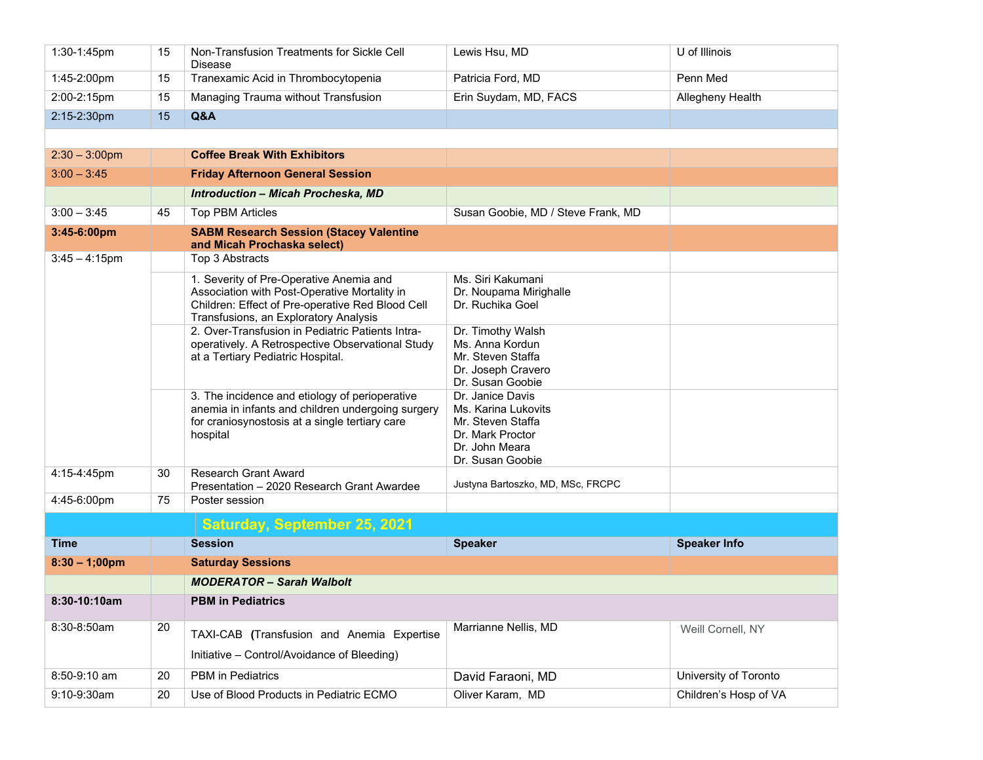| 1:30-1:45pm      | 15 | Non-Transfusion Treatments for Sickle Cell<br>Disease                                                                                                                                | Lewis Hsu, MD                                                                                                          | U of Illinois         |
|------------------|----|--------------------------------------------------------------------------------------------------------------------------------------------------------------------------------------|------------------------------------------------------------------------------------------------------------------------|-----------------------|
| 1:45-2:00pm      | 15 | Tranexamic Acid in Thrombocytopenia                                                                                                                                                  | Patricia Ford, MD                                                                                                      | Penn Med              |
| 2:00-2:15pm      | 15 | Managing Trauma without Transfusion                                                                                                                                                  | Erin Suydam, MD, FACS                                                                                                  | Allegheny Health      |
| 2:15-2:30pm      | 15 | Q&A                                                                                                                                                                                  |                                                                                                                        |                       |
|                  |    |                                                                                                                                                                                      |                                                                                                                        |                       |
| $2:30 - 3:00$ pm |    | <b>Coffee Break With Exhibitors</b>                                                                                                                                                  |                                                                                                                        |                       |
| $3:00 - 3:45$    |    | <b>Friday Afternoon General Session</b>                                                                                                                                              |                                                                                                                        |                       |
|                  |    | <b>Introduction - Micah Procheska, MD</b>                                                                                                                                            |                                                                                                                        |                       |
| $3:00 - 3:45$    | 45 | <b>Top PBM Articles</b>                                                                                                                                                              | Susan Goobie, MD / Steve Frank, MD                                                                                     |                       |
| 3:45-6:00pm      |    | <b>SABM Research Session (Stacey Valentine</b><br>and Micah Prochaska select)                                                                                                        |                                                                                                                        |                       |
| $3:45 - 4:15$ pm |    | Top 3 Abstracts                                                                                                                                                                      |                                                                                                                        |                       |
|                  |    | 1. Severity of Pre-Operative Anemia and<br>Association with Post-Operative Mortality in<br>Children: Effect of Pre-operative Red Blood Cell<br>Transfusions, an Exploratory Analysis | Ms. Siri Kakumani<br>Dr. Noupama Mirighalle<br>Dr. Ruchika Goel                                                        |                       |
|                  |    | 2. Over-Transfusion in Pediatric Patients Intra-<br>operatively. A Retrospective Observational Study<br>at a Tertiary Pediatric Hospital.                                            | Dr. Timothy Walsh<br>Ms. Anna Kordun<br>Mr. Steven Staffa<br>Dr. Joseph Cravero<br>Dr. Susan Goobie                    |                       |
|                  |    | 3. The incidence and etiology of perioperative<br>anemia in infants and children undergoing surgery<br>for craniosynostosis at a single tertiary care<br>hospital                    | Dr. Janice Davis<br>Ms. Karina Lukovits<br>Mr. Steven Staffa<br>Dr. Mark Proctor<br>Dr. John Meara<br>Dr. Susan Goobie |                       |
| 4:15-4:45pm      | 30 | <b>Research Grant Award</b><br>Presentation - 2020 Research Grant Awardee                                                                                                            | Justyna Bartoszko, MD, MSc, FRCPC                                                                                      |                       |
| 4:45-6:00pm      | 75 | Poster session                                                                                                                                                                       |                                                                                                                        |                       |
|                  |    | <b>Saturday, September 25, 2021</b>                                                                                                                                                  |                                                                                                                        |                       |
| <b>Time</b>      |    | <b>Session</b>                                                                                                                                                                       | <b>Speaker</b>                                                                                                         | <b>Speaker Info</b>   |
| $8:30 - 1;00$ pm |    | <b>Saturday Sessions</b>                                                                                                                                                             |                                                                                                                        |                       |
|                  |    | <b>MODERATOR - Sarah Walbolt</b>                                                                                                                                                     |                                                                                                                        |                       |
| 8:30-10:10am     |    | <b>PBM in Pediatrics</b>                                                                                                                                                             |                                                                                                                        |                       |
| 8:30-8:50am      | 20 | TAXI-CAB (Transfusion and Anemia Expertise<br>Initiative - Control/Avoidance of Bleeding)                                                                                            | Marrianne Nellis, MD                                                                                                   | Weill Cornell, NY     |
| 8:50-9:10 am     | 20 | PBM in Pediatrics                                                                                                                                                                    | David Faraoni, MD                                                                                                      | University of Toronto |
| 9:10-9:30am      | 20 | Use of Blood Products in Pediatric ECMO                                                                                                                                              | Oliver Karam, MD                                                                                                       | Children's Hosp of VA |